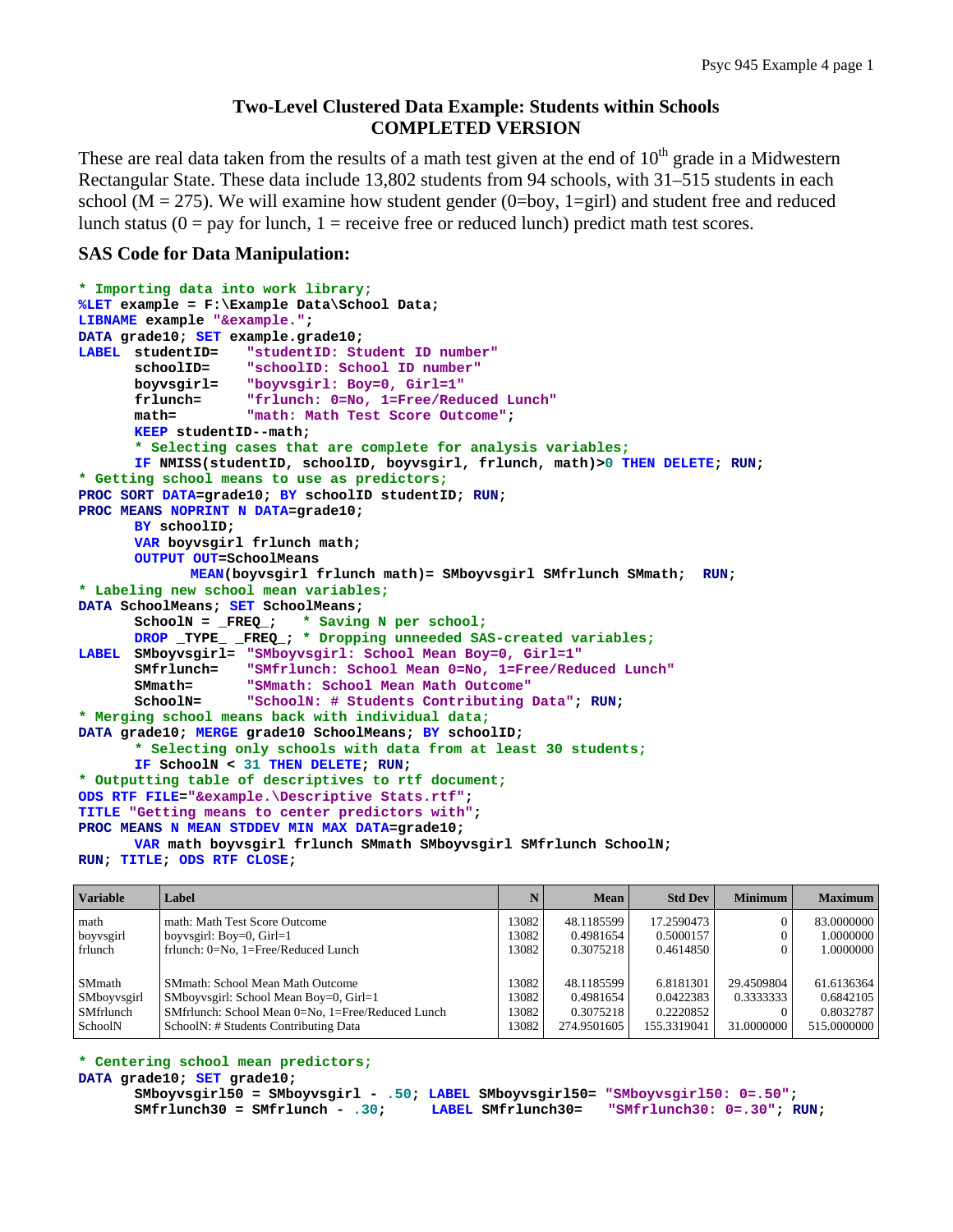# **Two-Level Clustered Data Example: Students within Schools COMPLETED VERSION**

These are real data taken from the results of a math test given at the end of  $10<sup>th</sup>$  grade in a Midwestern Rectangular State. These data include 13,802 students from 94 schools, with 31–515 students in each school ( $M = 275$ ). We will examine how student gender (0=boy, 1=girl) and student free and reduced lunch status ( $0 = pay$  for lunch,  $1 = receive$  free or reduced lunch) predict math test scores.

## **SAS Code for Data Manipulation:**

```
* Importing data into work library; 
%LET example = F:\Example Data\School Data; 
LIBNAME example "&example."; 
DATA grade10; SET example.grade10; 
LABEL studentID= "studentID: Student ID number"
       schoolID= "schoolID: School ID number"
       boyvsgirl= "boyvsgirl: Boy=0, Girl=1"
       frlunch= "frlunch: 0=No, 1=Free/Reduced Lunch"
       math= "math: Math Test Score Outcome"; 
      KEEP studentID--math; 
       * Selecting cases that are complete for analysis variables;
      IF NMISS(studentID, schoolID, boyvsgirl, frlunch, math)>0 THEN DELETE; RUN; 
* Getting school means to use as predictors;
PROC SORT DATA=grade10; BY schoolID studentID; RUN; 
PROC MEANS NOPRINT N DATA=grade10; 
      BY schoolID; 
      VAR boyvsgirl frlunch math; 
      OUTPUT OUT=SchoolMeans 
              MEAN(boyvsgirl frlunch math)= SMboyvsgirl SMfrlunch SMmath; RUN; 
* Labeling new school mean variables;
DATA SchoolMeans; SET SchoolMeans; 
       SchoolN = _FREQ_; * Saving N per school;
      DROP _TYPE_ _FREQ_; * Dropping unneeded SAS-created variables;
LABEL SMboyvsgirl= "SMboyvsgirl: School Mean Boy=0, Girl=1"
       SMfrlunch= "SMfrlunch: School Mean 0=No, 1=Free/Reduced Lunch"
       SMmath= "SMmath: School Mean Math Outcome"
       SchoolN= "SchoolN: # Students Contributing Data"; RUN; 
* Merging school means back with individual data;
DATA grade10; MERGE grade10 SchoolMeans; BY schoolID; 
       * Selecting only schools with data from at least 30 students;
      IF SchoolN < 31 THEN DELETE; RUN; 
* Outputting table of descriptives to rtf document;
ODS RTF FILE="&example.\Descriptive Stats.rtf"; 
TITLE "Getting means to center predictors with"; 
PROC MEANS N MEAN STDDEV MIN MAX DATA=grade10; 
      VAR math boyvsgirl frlunch SMmath SMboyvsgirl SMfrlunch SchoolN; 
RUN; TITLE; ODS RTF CLOSE;
```

| <b>Variable</b>             | Label                                                                |                | <b>Mean</b>              | <b>Std Dev</b>           | <b>Minimum</b> | <b>Maximum</b>           |
|-----------------------------|----------------------------------------------------------------------|----------------|--------------------------|--------------------------|----------------|--------------------------|
| math                        | math: Math Test Score Outcome                                        | 13082<br>13082 | 48.1185599<br>0.4981654  | 17.2590473<br>0.5000157  |                | 83.0000000<br>1.0000000  |
| boyvsgirl<br>frlunch        | boyysgirl: $Boy=0$ , $Girl=1$<br>frlunch: 0=No, 1=Free/Reduced Lunch | 13082          | 0.3075218                | 0.4614850                |                | 1.0000000                |
| SMmath                      | <b>SMmath: School Mean Math Outcome</b>                              | 13082          | 48.1185599               | 6.8181301                | 29.4509804     | 61.6136364               |
| SMboyysgirl                 | SMboyvsgirl: School Mean Boy=0, Girl=1                               | 13082          | 0.4981654                | 0.0422383                | 0.3333333      | 0.6842105                |
| <b>SMfrlunch</b><br>SchoolN | SMfrlunch: School Mean 0=No, 1=Free/Reduced Lunch                    | 13082<br>13082 | 0.3075218<br>274.9501605 | 0.2220852<br>155.3319041 | 31.0000000     | 0.8032787<br>515.0000000 |
|                             | SchoolN: # Students Contributing Data                                |                |                          |                          |                |                          |

**\* Centering school mean predictors;**

```
DATA grade10; SET grade10;
```

```
 SMboyvsgirl50 = SMboyvsgirl - .50; LABEL SMboyvsgirl50= "SMboyvsgirl50: 0=.50"; 
                                 LABEL SMfrlunch30= "SMfrlunch30: 0=.30"; RUN;
```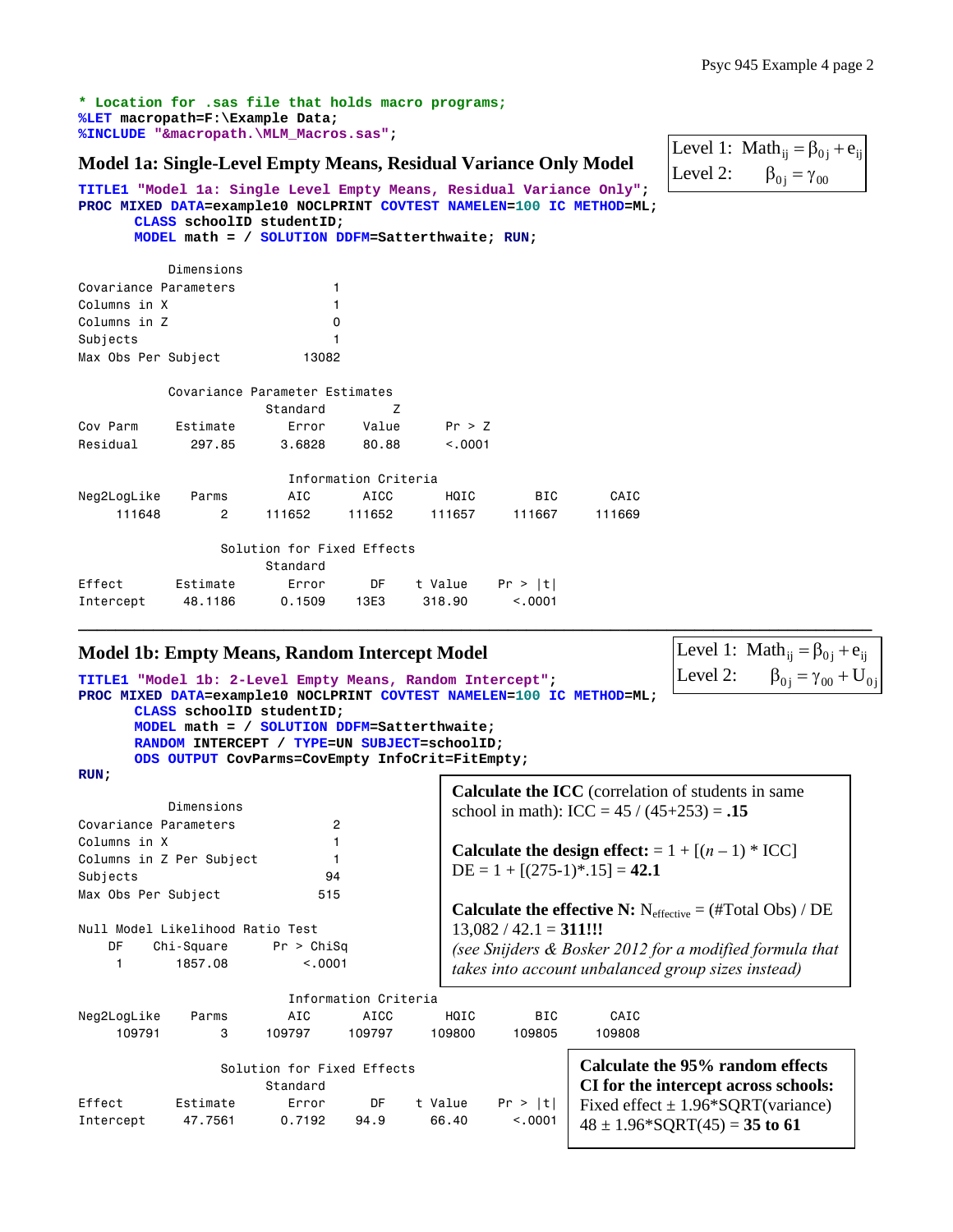**\* Location for .sas file that holds macro programs; %LET macropath=F:\Example Data; %INCLUDE "&macropath.\MLM\_Macros.sas";**

## **Model 1a: Single-Level Empty Means, Residual Variance Only Model**

|          | Level 1: Math <sub>ij</sub> = $\beta_{0j}$ + $e_{ij}$ |
|----------|-------------------------------------------------------|
| Level 2: | $\beta_{0i} = \gamma_{00}$                            |

**TITLE1 "Model 1a: Single Level Empty Means, Residual Variance Only"; PROC MIXED DATA=example10 NOCLPRINT COVTEST NAMELEN=100 IC METHOD=ML; CLASS schoolID studentID; MODEL math = / SOLUTION DDFM=Satterthwaite; RUN;** 

 Dimensions Covariance Parameters 1 Columns in X 1 Columns in Z 0 Subjects 1 Max Obs Per Subject 13082

|             |          | Covariance Parameter Estimates |                      |         |        |        |
|-------------|----------|--------------------------------|----------------------|---------|--------|--------|
|             |          | Standard                       |                      |         |        |        |
| Cov Parm    | Estimate | Error                          | Value                | Pr > Z  |        |        |
| Residual    | 297.85   | 3.6828                         | 80.88                | < 0.001 |        |        |
|             |          |                                |                      |         |        |        |
|             |          |                                | Information Criteria |         |        |        |
| Neg2LogLike | Parms    | AIC                            | AICC                 | HQIC    | BIC.   | CAIC   |
| 111648      | 2        | 111652                         | 111652               | 111657  | 111667 | 111669 |
|             |          |                                |                      |         |        |        |
|             |          | Solution for Fixed Effects     |                      |         |        |        |

|           |          | Standard |      |         |          |
|-----------|----------|----------|------|---------|----------|
| Effect    | Estimate | Error    | DE.  | t Value | Pr >  t  |
| Intercept | 48.1186  | 0.1509   | 13F3 | 318.90  | < 0.0001 |

#### **Model 1b: Empty Means, Random Intercept Model**

**TITLE1 "Model 1b: 2-Level Empty Means, Random Intercept"; PROC MIXED DATA=example10 NOCLPRINT COVTEST NAMELEN=100 IC METHOD=ML; CLASS schoolID studentID; MODEL math = / SOLUTION DDFM=Satterthwaite; RANDOM INTERCEPT / TYPE=UN SUBJECT=schoolID; ODS OUTPUT CovParms=CovEmpty InfoCrit=FitEmpty; RUN;** 

Level 1: Math<sub>ij</sub> =  $\beta_{0j}$  +  $e_{ij}$ Level 2:  $\beta_{0j} = \gamma_{00} + U_{0j}$ 

|                                                 | ODS OUTPUT CovParms=CovEmpty InfoCrit=FitEmpty;           |                                                           |                                        |                  |                          |                                                                                                                                                                                                   |
|-------------------------------------------------|-----------------------------------------------------------|-----------------------------------------------------------|----------------------------------------|------------------|--------------------------|---------------------------------------------------------------------------------------------------------------------------------------------------------------------------------------------------|
| RUN:<br>Covariance Parameters                   | Dimensions                                                |                                                           | $\overline{c}$                         |                  |                          | <b>Calculate the ICC</b> (correlation of students in same<br>school in math): ICC = $45 / (45+253) = .15$                                                                                         |
| Columns in X<br>Subjects<br>Max Obs Per Subject | Columns in Z Per Subject                                  | 94<br>515                                                 |                                        |                  |                          | Calculate the design effect: = $1 + [(n-1) * ICC]$<br>$DE = 1 + [(275-1)^* \cdot 15] = 42.1$                                                                                                      |
| DF                                              | Null Model Likelihood Ratio Test<br>Chi-Square<br>1857.08 | Pr > ChiSq<br>< 0.001                                     |                                        |                  | $13,082 / 42.1 = 311!!!$ | <b>Calculate the effective N:</b> $N_{effective} = (\text{\#Total Obs}) / DE$<br>(see Snijders $\&$ Bosker 2012 for a modified formula that<br>takes into account unbalanced group sizes instead) |
| Neg2LogLike<br>109791                           | Parms<br>3                                                | AIC<br>109797                                             | Information Criteria<br>AICC<br>109797 | HQIC<br>109800   | <b>BIC</b><br>109805     | CAIC<br>109808                                                                                                                                                                                    |
| Effect<br>Intercept                             | Estimate<br>47.7561                                       | Solution for Fixed Effects<br>Standard<br>Error<br>0.7192 | DF.<br>94.9                            | t Value<br>66.40 | Pr >  t <br>< 0.001      | Calculate the 95% random effects<br>CI for the intercept across schools:<br>Fixed effect $\pm$ 1.96*SQRT(variance)<br>$48 \pm 1.96*SQRT(45) = 35$ to 61                                           |

**\_\_\_\_\_\_\_\_\_\_\_\_\_\_\_\_\_\_\_\_\_\_\_\_\_\_\_\_\_\_\_\_\_\_\_\_\_\_\_\_\_\_\_\_\_\_\_\_\_\_\_\_\_\_\_\_\_\_\_\_\_\_\_\_\_\_\_\_\_\_\_\_\_\_\_\_\_\_\_\_\_\_\_\_\_**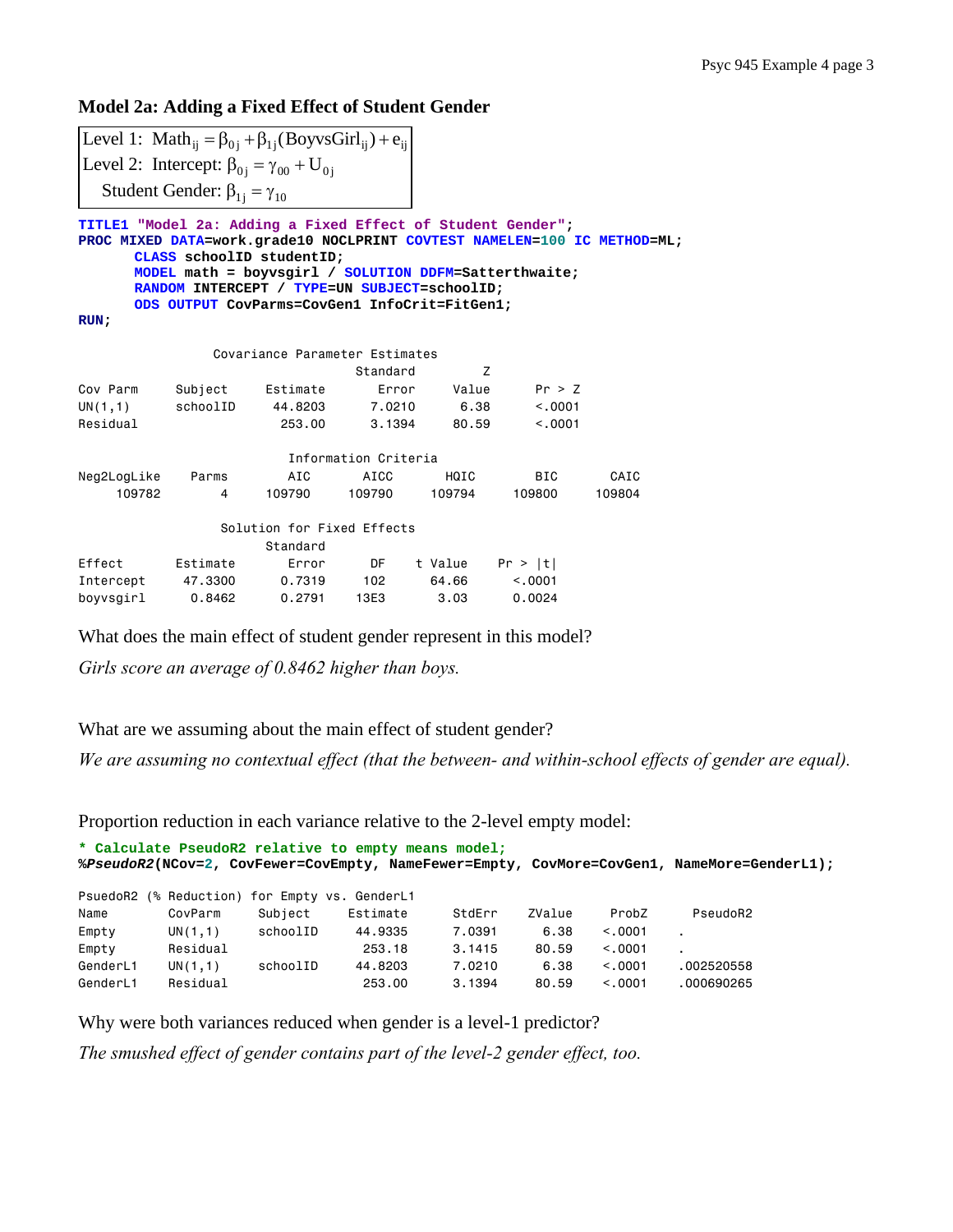## **Model 2a: Adding a Fixed Effect of Student Gender**

Level 1: Math<sub>ij</sub> =  $\beta_{0j}$  +  $\beta_{1j}$ (BoyvsGirl<sub>ij</sub>) +  $e_{ij}$ Level 2: Intercept:  $\beta_{0j} = \gamma_{00} + U_{0j}$ Student Gender:  $\beta_{1j} = \gamma_{10}$ 

**TITLE1 "Model 2a: Adding a Fixed Effect of Student Gender"; PROC MIXED DATA=work.grade10 NOCLPRINT COVTEST NAMELEN=100 IC METHOD=ML; CLASS schoolID studentID; MODEL math = boyvsgirl / SOLUTION DDFM=Satterthwaite; RANDOM INTERCEPT / TYPE=UN SUBJECT=schoolID; ODS OUTPUT CovParms=CovGen1 InfoCrit=FitGen1;** 

```
RUN;
```

| Covariance Parameter Estimates |          |                            |                      |         |          |        |  |  |  |
|--------------------------------|----------|----------------------------|----------------------|---------|----------|--------|--|--|--|
|                                |          |                            | Standard             | Ζ       |          |        |  |  |  |
| Cov Parm                       | Subject  | Estimate                   | Error                | Value   | Pr > Z   |        |  |  |  |
| UN(1,1)                        | schoolID | 44,8203                    | 7.0210               | 6.38    | < 0.001  |        |  |  |  |
| Residual                       |          | 253,00                     | 3.1394               | 80.59   | < 0.001  |        |  |  |  |
|                                |          |                            |                      |         |          |        |  |  |  |
|                                |          |                            | Information Criteria |         |          |        |  |  |  |
| Neg2LogLike                    | Parms    | AIC                        | AICC                 | HQIC    | BIC      | CAIC   |  |  |  |
| 109782                         | 4        | 109790                     | 109790               | 109794  | 109800   | 109804 |  |  |  |
|                                |          | Solution for Fixed Effects |                      |         |          |        |  |  |  |
|                                |          | Standard                   |                      |         |          |        |  |  |  |
| Effect                         | Estimate | Error                      | DF                   | t Value | Pr >  t  |        |  |  |  |
| Intercept                      | 47,3300  | 0.7319                     | 102                  | 64.66   | < 0.0001 |        |  |  |  |
| boyvsgirl                      | 0.8462   | 0.2791                     | 13E3                 | 3.03    | 0.0024   |        |  |  |  |

What does the main effect of student gender represent in this model?

*Girls score an average of 0.8462 higher than boys.* 

What are we assuming about the main effect of student gender?

*We are assuming no contextual effect (that the between- and within-school effects of gender are equal).* 

Proportion reduction in each variance relative to the 2-level empty model:

| * Calculate PseudoR2 relative to empty means model;<br>%PseudoR2(NCov=2, CovFewer=CovEmpty, NameFewer=Empty, CovMore=CovGen1, NameMore=GenderL1); |          |                                               |          |        |        |          |            |  |  |
|---------------------------------------------------------------------------------------------------------------------------------------------------|----------|-----------------------------------------------|----------|--------|--------|----------|------------|--|--|
|                                                                                                                                                   |          | PsuedoR2 (% Reduction) for Empty vs. GenderL1 |          |        |        |          |            |  |  |
| Name                                                                                                                                              | CovParm  | Subject                                       | Estimate | StdErr | ZValue | ProbZ    | PseudoR2   |  |  |
| Empty                                                                                                                                             | UN(1,1)  | schoolID                                      | 44,9335  | 7.0391 | 6.38   | < 0.0001 |            |  |  |
| Empty                                                                                                                                             | Residual |                                               | 253.18   | 3.1415 | 80.59  | < 0.001  |            |  |  |
| GenderL1                                                                                                                                          | UN(1,1)  | schoolID                                      | 44.8203  | 7.0210 | 6.38   | < 0.001  | .002520558 |  |  |
| GenderL1                                                                                                                                          | Residual |                                               | 253.00   | 3.1394 | 80.59  | < 0.001  | .000690265 |  |  |

Why were both variances reduced when gender is a level-1 predictor?

*The smushed effect of gender contains part of the level-2 gender effect, too.*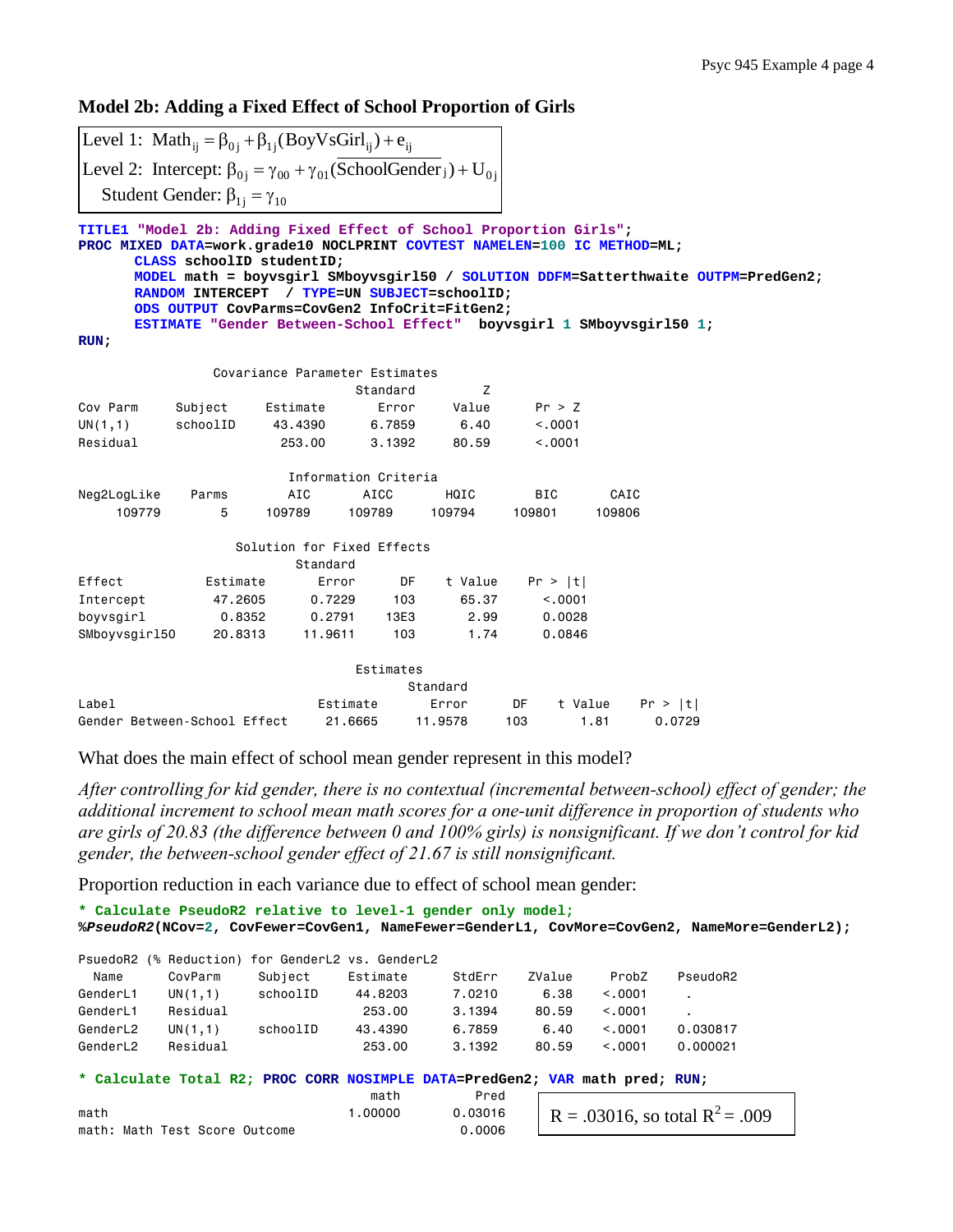#### **Model 2b: Adding a Fixed Effect of School Proportion of Girls**

| Level 1: Math <sub>ii</sub> = $\beta_{0i}$ + $\beta_{1i}$ (BoyVsGirl <sub>ij</sub> ) + $e_{ij}$             |
|-------------------------------------------------------------------------------------------------------------|
| Level 2: Intercept: $\beta_{0i} = \gamma_{00} + \gamma_{01}$ (SchoolGender <sub>j</sub> ) + U <sub>0j</sub> |
| Student Gender: $\beta_{1i} = \gamma_{10}$                                                                  |

**TITLE1 "Model 2b: Adding Fixed Effect of School Proportion Girls"; PROC MIXED DATA=work.grade10 NOCLPRINT COVTEST NAMELEN=100 IC METHOD=ML; CLASS schoolID studentID; MODEL math = boyvsgirl SMboyvsgirl50 / SOLUTION DDFM=Satterthwaite OUTPM=PredGen2; RANDOM INTERCEPT / TYPE=UN SUBJECT=schoolID; ODS OUTPUT CovParms=CovGen2 InfoCrit=FitGen2; ESTIMATE "Gender Between-School Effect" boyvsgirl 1 SMboyvsgirl50 1; RUN;** 

 $\mathbb{R}$ 

 Covariance Parameter Estimates example and the Standard Contract of the Standard Contract of  $\mathsf Z$ Cov Parm Subject Estimate Error Value Pr > Z UN(1,1) schoolID 43.4390 6.7859 6.40 <.0001 Residual 253.00 3.1392 80.59 <.0001 Information Criteria Neg2LogLike Parms AIC AICC HQIC BIC CAIC 109779 5 109789 109789 109794 109801 109806 Solution for Fixed Effects Standard Effect Estimate Error DF t Value Pr > |t| Intercept 47.2605 0.7229 103 65.37 <.0001 boyvsgirl 0.8352 0.2791 13E3 2.99 0.0028 SMboyvsgirl50 20.8313 11.9611 103 1.74 0.0846 Estimates Standard Label Estimate Error DF t Value Pr > |t| Gender Between-School Effect 21.6665 11.9578 103 1.81 0.0729

What does the main effect of school mean gender represent in this model?

*After controlling for kid gender, there is no contextual (incremental between-school) effect of gender; the additional increment to school mean math scores for a one-unit difference in proportion of students who are girls of 20.83 (the difference between 0 and 100% girls) is nonsignificant. If we don't control for kid gender, the between-school gender effect of 21.67 is still nonsignificant.* 

Proportion reduction in each variance due to effect of school mean gender:

```
* Calculate PseudoR2 relative to level-1 gender only model;
%PseudoR2(NCov=2, CovFewer=CovGen1, NameFewer=GenderL1, CovMore=CovGen2, NameMore=GenderL2); 
PsuedoR2 (% Reduction) for GenderL2 vs. GenderL2 
 Name CovParm Subject Estimate StdErr ZValue ProbZ PseudoR2 
GenderL1 UN(1,1) schoolID 44.8203 7.0210 6.38 <.0001 . 
GenderL1 Residual 253.00 3.1394 80.59 <.0001 . 
GenderL2 UN(1,1) schoolID 43.4390 6.7859 6.40 <.0001 0.030817 
GenderL2 Residual 253.00 3.1392 80.59 <.0001 0.000021
* Calculate Total R2; PROC CORR NOSIMPLE DATA=PredGen2; VAR math pred; RUN; 
math Pred
math 1.00000 0.03016
math: Math Test Score Outcome 0.0006
                                            R = .03016, so total R^2 = .009
```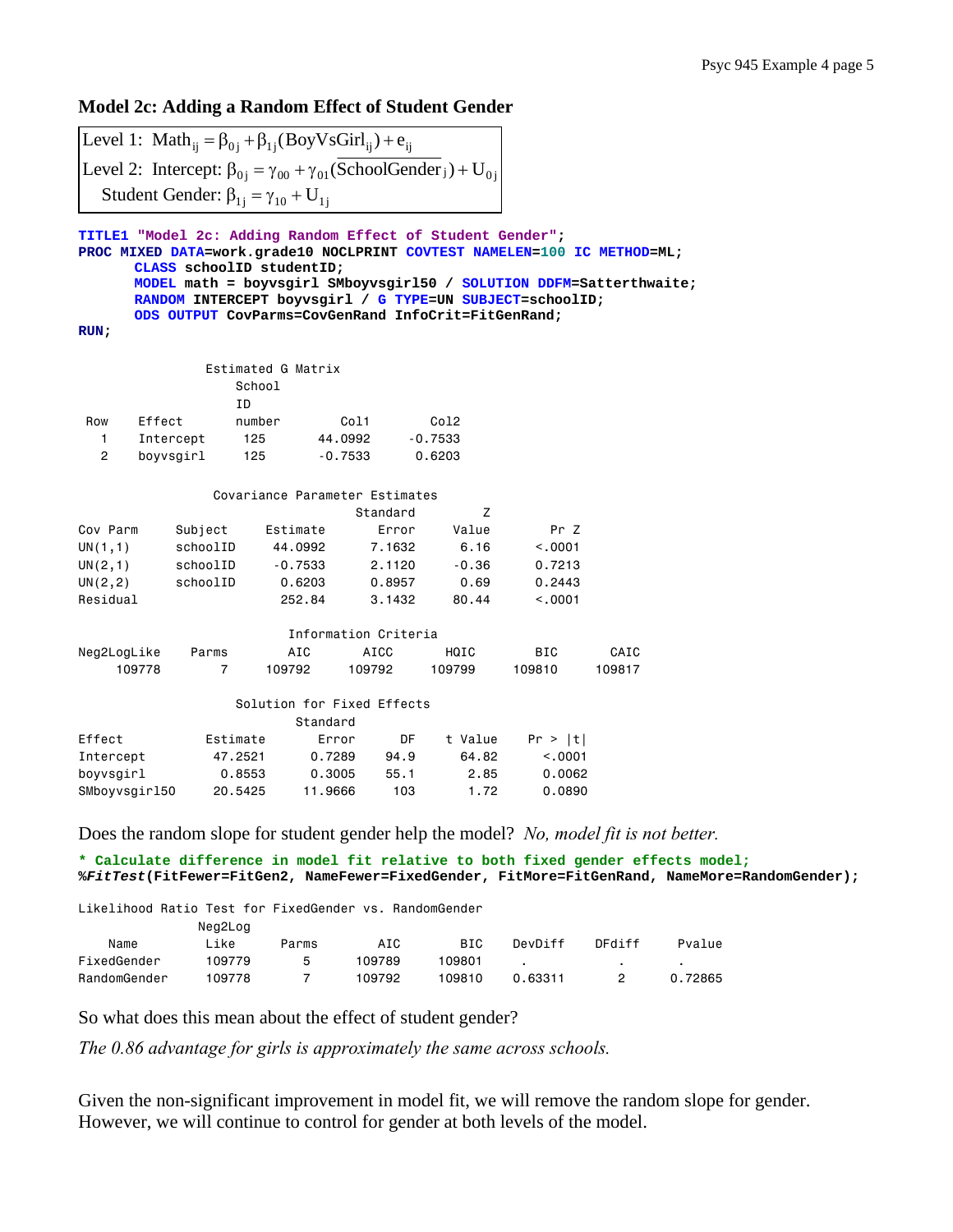# **Model 2c: Adding a Random Effect of Student Gender**

|                |                | Level 1: Math <sub>ij</sub> = $\beta_{0j}$ + $\beta_{1j}$ (BoyVsGirl <sub>ij</sub> ) + $e_{ij}$                                                                                                                                                                                        |                      |           |         |                                                                                       |  |
|----------------|----------------|----------------------------------------------------------------------------------------------------------------------------------------------------------------------------------------------------------------------------------------------------------------------------------------|----------------------|-----------|---------|---------------------------------------------------------------------------------------|--|
|                |                | Level 2: Intercept: $\beta_{0j} = \gamma_{00} + \gamma_{01}$ (SchoolGender <sub>j</sub> ) + U <sub>0j</sub>                                                                                                                                                                            |                      |           |         |                                                                                       |  |
|                |                | Student Gender: $\beta_{1j} = \gamma_{10} + U_{1j}$                                                                                                                                                                                                                                    |                      |           |         |                                                                                       |  |
|                |                |                                                                                                                                                                                                                                                                                        |                      |           |         |                                                                                       |  |
| $RUN$ ;        |                | TITLE1 "Model 2c: Adding Random Effect of Student Gender";<br>PROC MIXED DATA=work.grade10 NOCLPRINT COVTEST NAMELEN=100 IC METHOD=ML;<br>CLASS schoolID studentID;<br>RANDOM INTERCEPT boyvsgirl / G TYPE=UN SUBJECT=schoolID;<br>ODS OUTPUT CovParms=CovGenRand InfoCrit=FitGenRand; |                      |           |         | MODEL math = boyvsgirl SMboyvsgirl50 / SOLUTION DDFM=Satterthwaite;                   |  |
|                |                |                                                                                                                                                                                                                                                                                        |                      |           |         |                                                                                       |  |
|                |                | Estimated G Matrix                                                                                                                                                                                                                                                                     |                      |           |         |                                                                                       |  |
|                |                | School<br>ΙD                                                                                                                                                                                                                                                                           |                      |           |         |                                                                                       |  |
| Row            | Effect         | number                                                                                                                                                                                                                                                                                 | Col1                 | Co12      |         |                                                                                       |  |
| 1.             | Intercept      | 125                                                                                                                                                                                                                                                                                    | 44.0992              | $-0.7533$ |         |                                                                                       |  |
| $\overline{c}$ | boyvsgirl      | 125                                                                                                                                                                                                                                                                                    | $-0.7533$            | 0.6203    |         |                                                                                       |  |
|                |                | Covariance Parameter Estimates                                                                                                                                                                                                                                                         |                      |           |         |                                                                                       |  |
|                |                |                                                                                                                                                                                                                                                                                        | Standard             | Z         |         |                                                                                       |  |
| Cov Parm       | Subject        | Estimate                                                                                                                                                                                                                                                                               | Error                | Value     | Pr Z    |                                                                                       |  |
| UN(1,1)        | schoolID       | 44.0992                                                                                                                                                                                                                                                                                | 7.1632               | 6.16      | < .0001 |                                                                                       |  |
| UN(2,1)        | schoolID       | $-0.7533$                                                                                                                                                                                                                                                                              | 2.1120               | $-0.36$   | 0.7213  |                                                                                       |  |
| UN(2, 2)       | schoolID       | 0.6203                                                                                                                                                                                                                                                                                 | 0.8957               | 0.69      | 0.2443  |                                                                                       |  |
| Residual       |                | 252.84                                                                                                                                                                                                                                                                                 | 3.1432               | 80.44     | < .0001 |                                                                                       |  |
|                |                |                                                                                                                                                                                                                                                                                        | Information Criteria |           |         |                                                                                       |  |
| Neg2LogLike    | Parms          | AIC                                                                                                                                                                                                                                                                                    | AICC                 | HQIC      | BIC     | CAIC                                                                                  |  |
| 109778         | $\overline{7}$ | 109792                                                                                                                                                                                                                                                                                 | 109792               | 109799    | 109810  | 109817                                                                                |  |
|                |                | Solution for Fixed Effects<br>Standard                                                                                                                                                                                                                                                 |                      |           |         |                                                                                       |  |
| Effect         |                | Estimate                                                                                                                                                                                                                                                                               | DF<br>Error          | t Value   | Pr >  t |                                                                                       |  |
| Intercept      |                | 47.2521                                                                                                                                                                                                                                                                                | 0.7289<br>94.9       | 64.82     | < .0001 |                                                                                       |  |
| boyvsgirl      |                | 0.8553                                                                                                                                                                                                                                                                                 | 55.1<br>0.3005       | 2.85      | 0.0062  |                                                                                       |  |
| SMboyvsgirl50  |                | 20.5425<br>11.9666                                                                                                                                                                                                                                                                     | 103                  | 1.72      | 0.0890  |                                                                                       |  |
|                |                |                                                                                                                                                                                                                                                                                        |                      |           |         | Does the random slope for student gender help the model? No, model fit is not better. |  |
|                |                |                                                                                                                                                                                                                                                                                        |                      |           |         | * Calculate difference in model fit relative to both fixed gender effects model;      |  |

**%***FitTest***(FitFewer=FitGen2, NameFewer=FixedGender, FitMore=FitGenRand, NameMore=RandomGender);** 

| Like | Parms                       | AIC                         | BIC.   |                                                        | DFdiff | Pvalue  |
|------|-----------------------------|-----------------------------|--------|--------------------------------------------------------|--------|---------|
|      | 5                           | 109789                      | 109801 |                                                        |        |         |
|      |                             | 109792                      | 109810 | 0.63311                                                |        | 0.72865 |
|      | FixedGender<br>RandomGender | Neg2Log<br>109779<br>109778 |        | Likelihood Ratio Test for FixedGender vs. RandomGender |        | DevDiff |

So what does this mean about the effect of student gender?

*The 0.86 advantage for girls is approximately the same across schools.* 

Given the non-significant improvement in model fit, we will remove the random slope for gender. However, we will continue to control for gender at both levels of the model.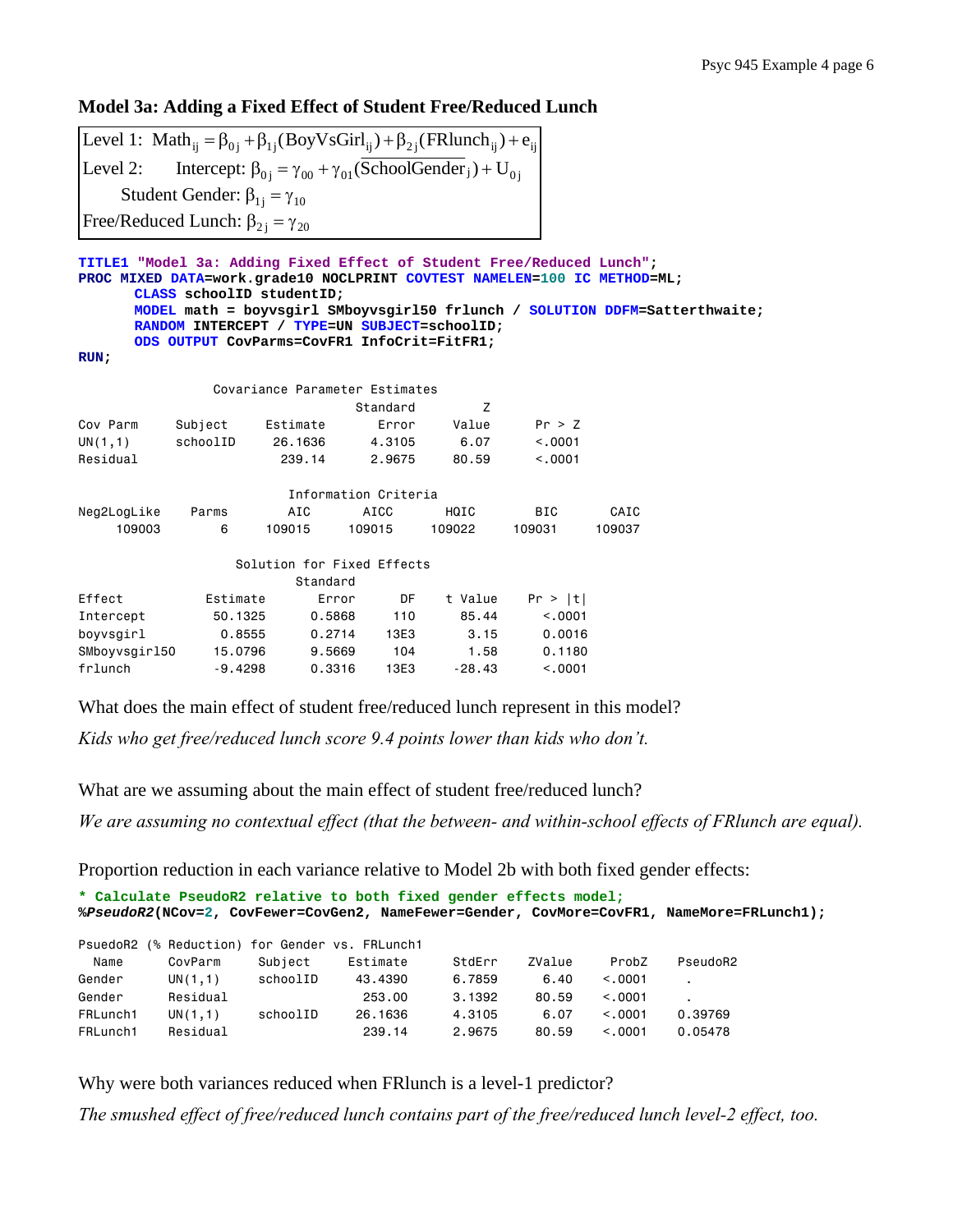## **Model 3a: Adding a Fixed Effect of Student Free/Reduced Lunch**

Level 1: Math<sub>ij</sub> =  $\beta_{0j}$  +  $\beta_{1j}$ (BoyVsGirl<sub>ij</sub>) +  $\beta_{2j}$ (FRlunch<sub>ij</sub>) +  $e_{ij}$ Level 2: Intercept:  $\beta_{0j} = \gamma_{00} + \gamma_{01}$ (SchoolGender ) + U<sub>0j</sub> Student Gender:  $\beta_{1j} = \gamma_{10}$ Free/Reduced Lunch:  $\beta_{2j} = \gamma_{20}$ 

| TITLE1 "Model 3a: Adding Fixed Effect of Student Free/Reduced Lunch";<br>PROC MIXED DATA=work.grade10 NOCLPRINT COVTEST NAMELEN=100 IC METHOD=ML;<br>CLASS schoolID studentID;<br>MODEL math = boyvsgirl SMboyvsgirl50 frlunch / SOLUTION DDFM=Satterthwaite;<br>RANDOM INTERCEPT / TYPE=UN SUBJECT=schoolID:<br>ODS OUTPUT CovParms=CovFR1 InfoCrit=FitFR1;<br>RUN: |           |                                |                      |          |         |        |  |  |
|----------------------------------------------------------------------------------------------------------------------------------------------------------------------------------------------------------------------------------------------------------------------------------------------------------------------------------------------------------------------|-----------|--------------------------------|----------------------|----------|---------|--------|--|--|
|                                                                                                                                                                                                                                                                                                                                                                      |           | Covariance Parameter Estimates |                      |          |         |        |  |  |
|                                                                                                                                                                                                                                                                                                                                                                      |           |                                | Standard             | Z        |         |        |  |  |
| Cov Parm                                                                                                                                                                                                                                                                                                                                                             | Subject   | Estimate                       | Error                | Value    | Pr > Z  |        |  |  |
| UN(1,1)                                                                                                                                                                                                                                                                                                                                                              | schoolID  | 26,1636                        | 4.3105               | 6.07     | < 0.001 |        |  |  |
| Residual                                                                                                                                                                                                                                                                                                                                                             |           | 239.14                         | 2.9675               | 80.59    | < 0.001 |        |  |  |
|                                                                                                                                                                                                                                                                                                                                                                      |           |                                | Information Criteria |          |         |        |  |  |
| Neg2LogLike                                                                                                                                                                                                                                                                                                                                                          | Parms     | AIC                            | AICC                 | HQIC     | BIC.    | CAIC   |  |  |
| 109003                                                                                                                                                                                                                                                                                                                                                               | 6         | 109015                         | 109015               | 109022   | 109031  | 109037 |  |  |
|                                                                                                                                                                                                                                                                                                                                                                      |           | Solution for Fixed Effects     |                      |          |         |        |  |  |
|                                                                                                                                                                                                                                                                                                                                                                      |           | Standard                       |                      |          |         |        |  |  |
| Fffect                                                                                                                                                                                                                                                                                                                                                               | Estimate  | Error                          | DF                   | t Value  | Pr >  t |        |  |  |
| Intercept                                                                                                                                                                                                                                                                                                                                                            | 50.1325   | 0.5868                         | 110                  | 85.44    | < 0.001 |        |  |  |
| boyvsgirl                                                                                                                                                                                                                                                                                                                                                            | 0.8555    | 0.2714                         | 13E3                 | 3.15     | 0.0016  |        |  |  |
| SMboyvsgirl50                                                                                                                                                                                                                                                                                                                                                        | 15,0796   | 9,5669                         | 104                  | 1.58     | 0.1180  |        |  |  |
| frlunch                                                                                                                                                                                                                                                                                                                                                              | $-9.4298$ | 0.3316                         | 13E3                 | $-28.43$ | < 0.001 |        |  |  |

What does the main effect of student free/reduced lunch represent in this model?

*Kids who get free/reduced lunch score 9.4 points lower than kids who don't.* 

What are we assuming about the main effect of student free/reduced lunch?

*We are assuming no contextual effect (that the between- and within-school effects of FRlunch are equal).* 

Proportion reduction in each variance relative to Model 2b with both fixed gender effects:

```
* Calculate PseudoR2 relative to both fixed gender effects model;
%PseudoR2(NCov=2, CovFewer=CovGen2, NameFewer=Gender, CovMore=CovFR1, NameMore=FRLunch1);
```

|          | PsuedoR2 (% Reduction) for Gender vs. FRLunch1 |          |          |        |        |         |          |
|----------|------------------------------------------------|----------|----------|--------|--------|---------|----------|
| Name     | CovParm                                        | Subject  | Estimate | StdErr | ZValue | ProbZ   | PseudoR2 |
| Gender   | UN(1,1)                                        | schoolID | 43,4390  | 6,7859 | 6.40   | < 0.001 | ٠        |
| Gender   | Residual                                       |          | 253.00   | 3.1392 | 80.59  | < 0.001 |          |
| FRLunch1 | UN(1,1)                                        | schoolID | 26,1636  | 4.3105 | 6.07   | < .0001 | 0.39769  |
| FRLunch1 | Residual                                       |          | 239.14   | 2.9675 | 80.59  | < 0.001 | 0.05478  |

Why were both variances reduced when FRlunch is a level-1 predictor?

*The smushed effect of free/reduced lunch contains part of the free/reduced lunch level-2 effect, too.*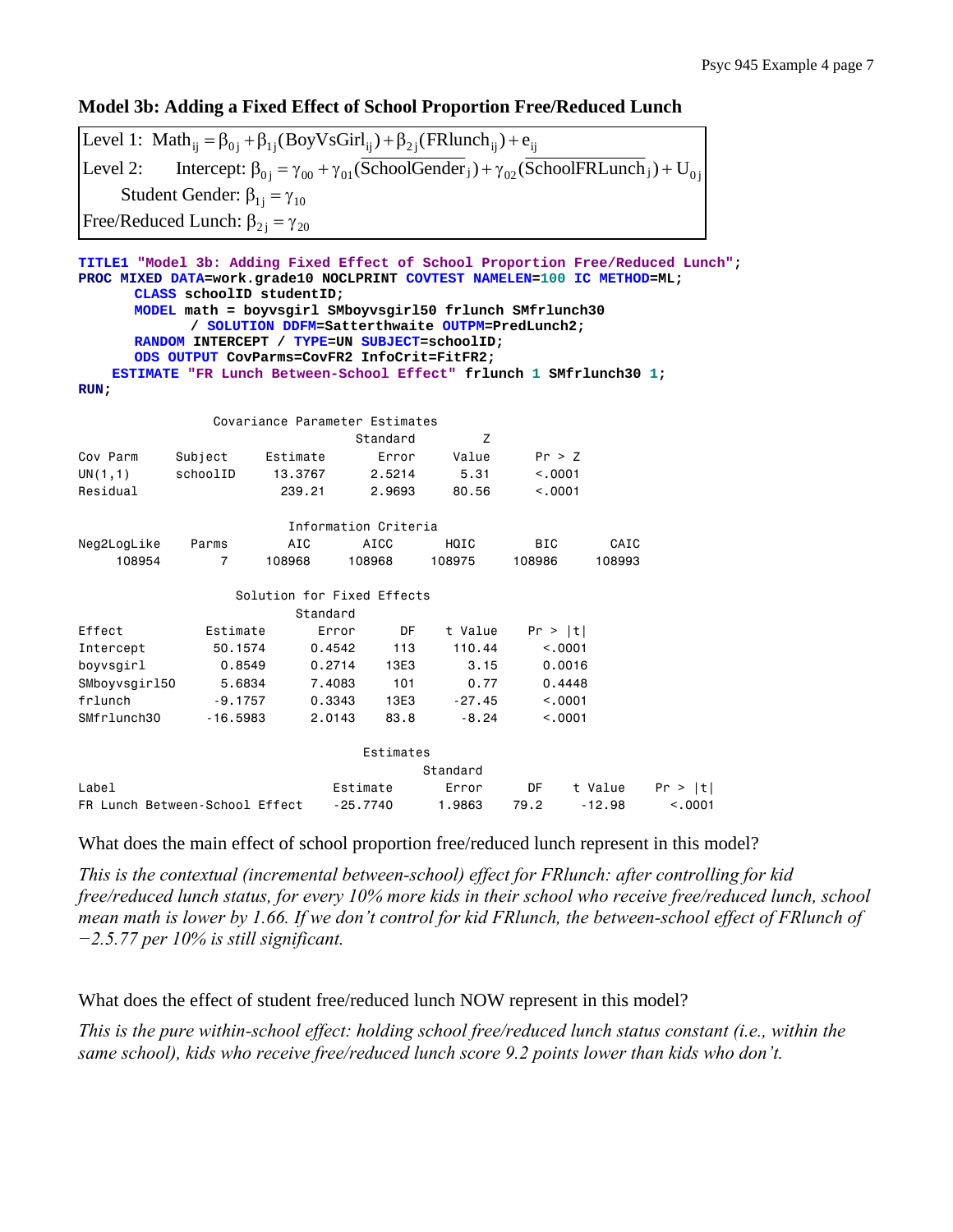# **Model 3b: Adding a Fixed Effect of School Proportion Free/Reduced Lunch**

| [Level 1: Math <sub>ii</sub> = $\beta_{0i}$ + $\beta_{1i}$ (BoyVsGirl <sub>ii</sub> ) + $\beta_{2i}$ (FRlunch <sub>ii</sub> ) + $e_{ii}$                   |
|------------------------------------------------------------------------------------------------------------------------------------------------------------|
| [Level 2: Intercept: $\beta_{0i} = \gamma_{00} + \gamma_{01}$ (SchoolGender <sub>j</sub> ) + $\gamma_{02}$ (SchoolFRLunch <sub>j</sub> ) + U <sub>0i</sub> |
| Student Gender: $\beta_{1i} = \gamma_{10}$                                                                                                                 |
| Free/Reduced Lunch: $\beta_{2i} = \gamma_{20}$                                                                                                             |

| TITLE1 "Model 3b: Adding Fixed Effect of School Proportion Free/Reduced Lunch";<br>PROC MIXED DATA=work.grade10 NOCLPRINT COVTEST NAMELEN=100 IC METHOD=ML;<br>CLASS schoolID studentID;<br>MODEL math = boyvsgirl SMboyvsgirl50 frlunch SMfrlunch30<br>/ SOLUTION DDFM=Satterthwaite OUTPM=PredLunch2;<br>RANDOM INTERCEPT / TYPE=UN SUBJECT=schoolID;<br>ODS OUTPUT CovParms=CovFR2 InfoCrit=FitFR2;<br>ESTIMATE "FR Lunch Between-School Effect" frlunch 1 SMfrlunch30 1;<br>RUN: |                |                                |            |           |          |            |          |         |
|--------------------------------------------------------------------------------------------------------------------------------------------------------------------------------------------------------------------------------------------------------------------------------------------------------------------------------------------------------------------------------------------------------------------------------------------------------------------------------------|----------------|--------------------------------|------------|-----------|----------|------------|----------|---------|
|                                                                                                                                                                                                                                                                                                                                                                                                                                                                                      |                |                                |            |           |          |            |          |         |
|                                                                                                                                                                                                                                                                                                                                                                                                                                                                                      |                | Covariance Parameter Estimates |            |           |          |            |          |         |
|                                                                                                                                                                                                                                                                                                                                                                                                                                                                                      |                |                                |            | Standard  | Z        |            |          |         |
| Cov Parm                                                                                                                                                                                                                                                                                                                                                                                                                                                                             | Subject        | Estimate                       |            | Error     | Value    | Pr > Z     |          |         |
| UN(1,1)                                                                                                                                                                                                                                                                                                                                                                                                                                                                              | schoolID       | 13,3767                        |            | 2.5214    | 5.31     | < 0.001    |          |         |
| Residual                                                                                                                                                                                                                                                                                                                                                                                                                                                                             |                | 239.21                         |            | 2.9693    | 80.56    | < 0.001    |          |         |
| Information Criteria                                                                                                                                                                                                                                                                                                                                                                                                                                                                 |                |                                |            |           |          |            |          |         |
| Neg2LogLike                                                                                                                                                                                                                                                                                                                                                                                                                                                                          | Parms          | AIC                            |            | AICC      | HQIC     | <b>BIC</b> | CAIC     |         |
| 108954                                                                                                                                                                                                                                                                                                                                                                                                                                                                               | $\overline{7}$ | 108968                         |            | 108968    | 108975   | 108986     | 108993   |         |
|                                                                                                                                                                                                                                                                                                                                                                                                                                                                                      |                |                                |            |           |          |            |          |         |
|                                                                                                                                                                                                                                                                                                                                                                                                                                                                                      |                | Solution for Fixed Effects     |            |           |          |            |          |         |
|                                                                                                                                                                                                                                                                                                                                                                                                                                                                                      |                |                                | Standard   |           |          |            |          |         |
| Effect                                                                                                                                                                                                                                                                                                                                                                                                                                                                               | Estimate       |                                | Error      | DF        | t Value  | Pr >  t    |          |         |
| Intercept                                                                                                                                                                                                                                                                                                                                                                                                                                                                            | 50.1574        |                                | 0.4542     | 113       | 110.44   |            | < 0.001  |         |
| boyvsgirl                                                                                                                                                                                                                                                                                                                                                                                                                                                                            | 0.8549         |                                | 0.2714     | 13E3      | 3.15     |            | 0.0016   |         |
| SMboyvsgir150                                                                                                                                                                                                                                                                                                                                                                                                                                                                        | 5,6834         |                                | 7.4083     | 101       | 0.77     |            | 0.4448   |         |
| frlunch                                                                                                                                                                                                                                                                                                                                                                                                                                                                              | $-9.1757$      |                                | 0.3343     | 13E3      | $-27.45$ |            | < 0.001  |         |
| SMfrlunch30                                                                                                                                                                                                                                                                                                                                                                                                                                                                          | $-16.5983$     |                                | 2,0143     | 83.8      | $-8.24$  |            | < 0.001  |         |
|                                                                                                                                                                                                                                                                                                                                                                                                                                                                                      |                |                                |            | Estimates |          |            |          |         |
|                                                                                                                                                                                                                                                                                                                                                                                                                                                                                      |                |                                |            |           | Standard |            |          |         |
| Label                                                                                                                                                                                                                                                                                                                                                                                                                                                                                |                |                                | Estimate   |           | Error    | DF         | t Value  | Pr >  t |
| FR Lunch Between-School Effect                                                                                                                                                                                                                                                                                                                                                                                                                                                       |                |                                | $-25.7740$ |           | 1,9863   | 79.2       | $-12.98$ | < 0.001 |

What does the main effect of school proportion free/reduced lunch represent in this model?

*This is the contextual (incremental between-school) effect for FRlunch: after controlling for kid free/reduced lunch status, for every 10% more kids in their school who receive free/reduced lunch, school mean math is lower by 1.66. If we don't control for kid FRlunch, the between-school effect of FRlunch of −2.5.77 per 10% is still significant.* 

What does the effect of student free/reduced lunch NOW represent in this model?

*This is the pure within-school effect: holding school free/reduced lunch status constant (i.e., within the same school), kids who receive free/reduced lunch score 9.2 points lower than kids who don't.*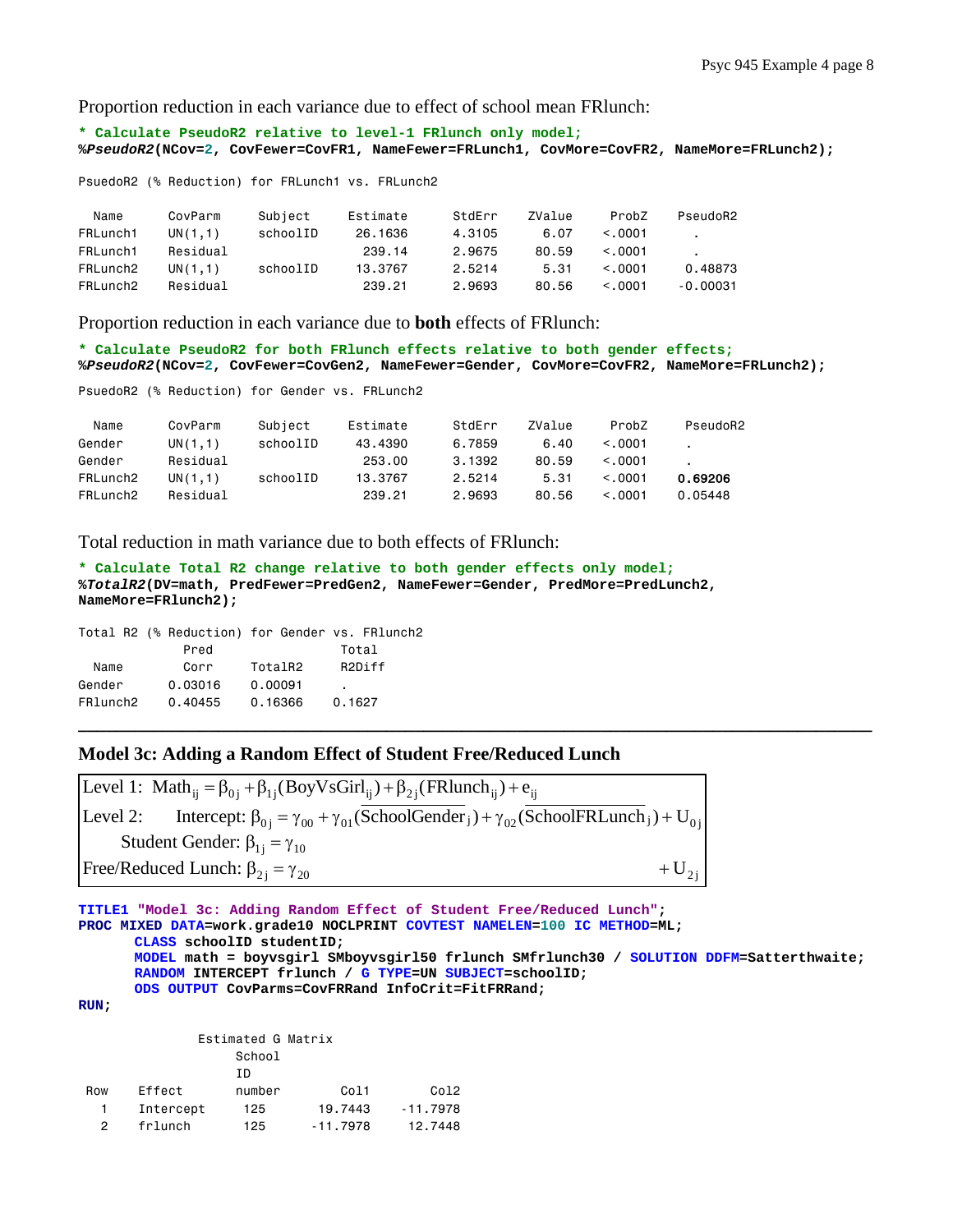Proportion reduction in each variance due to effect of school mean FRlunch:

**\* Calculate PseudoR2 relative to level-1 FRlunch only model; %***PseudoR2***(NCov=2, CovFewer=CovFR1, NameFewer=FRLunch1, CovMore=CovFR2, NameMore=FRLunch2);** 

PsuedoR2 (% Reduction) for FRLunch1 vs. FRLunch2

| Name     | CovParm  | Subject  | Estimate | StdErr | ZValue | ProbZ    | PseudoR2       |
|----------|----------|----------|----------|--------|--------|----------|----------------|
| FRLunch1 | UN(1,1)  | schoolID | 26,1636  | 4.3105 | 6.07   | < 0.001  | $\blacksquare$ |
| FRLunch1 | Residual |          | 239.14   | 2.9675 | 80.59  | < 0.0001 |                |
| FRLunch2 | UN(1,1)  | schoolID | 13,3767  | 2.5214 | 5.31   | < 0.001  | 0.48873        |
| FRLunch2 | Residual |          | 239.21   | 2.9693 | 80.56  | < 0.001  | $-0.00031$     |

Proportion reduction in each variance due to **both** effects of FRlunch:

**\* Calculate PseudoR2 for both FRlunch effects relative to both gender effects; %***PseudoR2***(NCov=2, CovFewer=CovGen2, NameFewer=Gender, CovMore=CovFR2, NameMore=FRLunch2);** 

PsuedoR2 (% Reduction) for Gender vs. FRLunch2

| Name     | CovParm  | Subject  | Estimate | StdErr | ZValue | ProbZ        | PseudoR2 |
|----------|----------|----------|----------|--------|--------|--------------|----------|
| Gender   | UN(1,1)  | schoolID | 43.4390  | 6.7859 | 6.40   | < 0.001      |          |
| Gender   | Residual |          | 253,00   | 3.1392 | 80.59  | < 0.001      |          |
| FRLunch2 | UN(1.1)  | schoolID | 13.3767  | 2.5214 | 5.31   | < 0.001      | 0.69206  |
| FRLunch2 | Residual |          | 239.21   | 2.9693 | 80.56  | $\leq$ .0001 | 0.05448  |

Total reduction in math variance due to both effects of FRlunch:

```
* Calculate Total R2 change relative to both gender effects only model;
%TotalR2(DV=math, PredFewer=PredGen2, NameFewer=Gender, PredMore=PredLunch2, 
NameMore=FRlunch2);
```
Total R2 (% Reduction) for Gender vs. FRlunch2 Pred Total Name Corr TotalR2 R2Diff Gender 0.03016 0.00091 FRlunch2 0.40455 0.16366 0.1627

#### **Model 3c: Adding a Random Effect of Student Free/Reduced Lunch**

Level 1: Math<sub>ij</sub> =  $\beta_{0j}$  +  $\beta_{1j}$ (BoyVsGirl<sub>ij</sub>) +  $\beta_{2j}$ (FRlunch<sub>ij</sub>) +  $e_{ij}$ Level 2: Intercept:  $\beta_{0j} = \gamma_{00} + \gamma_{01}$ (SchoolGender ) +  $\gamma_{02}$ (SchoolFRLunch ) + U<sub>0j</sub> Student Gender:  $\beta_{1j} = \gamma_{10}$ Free/Reduced Lunch:  $\beta_{2j} = \gamma_{20}$  + U<sub>2j</sub>

```
TITLE1 "Model 3c: Adding Random Effect of Student Free/Reduced Lunch"; 
PROC MIXED DATA=work.grade10 NOCLPRINT COVTEST NAMELEN=100 IC METHOD=ML; 
       CLASS schoolID studentID; 
       MODEL math = boyvsgirl SMboyvsgirl50 frlunch SMfrlunch30 / SOLUTION DDFM=Satterthwaite; 
       RANDOM INTERCEPT frlunch / G TYPE=UN SUBJECT=schoolID; 
       ODS OUTPUT CovParms=CovFRRand InfoCrit=FitFRRand; 
RUN; 
               Estimated G Matrix
```
**\_\_\_\_\_\_\_\_\_\_\_\_\_\_\_\_\_\_\_\_\_\_\_\_\_\_\_\_\_\_\_\_\_\_\_\_\_\_\_\_\_\_\_\_\_\_\_\_\_\_\_\_\_\_\_\_\_\_\_\_\_\_\_\_\_\_\_\_\_\_\_\_\_\_\_\_\_\_\_\_\_\_\_\_\_** 

```
 School 
 ID 
 Row Effect number Col1 Col2 
  1 Intercept 125 19.7443 -11.7978 
  2 frlunch 125 -11.7978 12.7448
```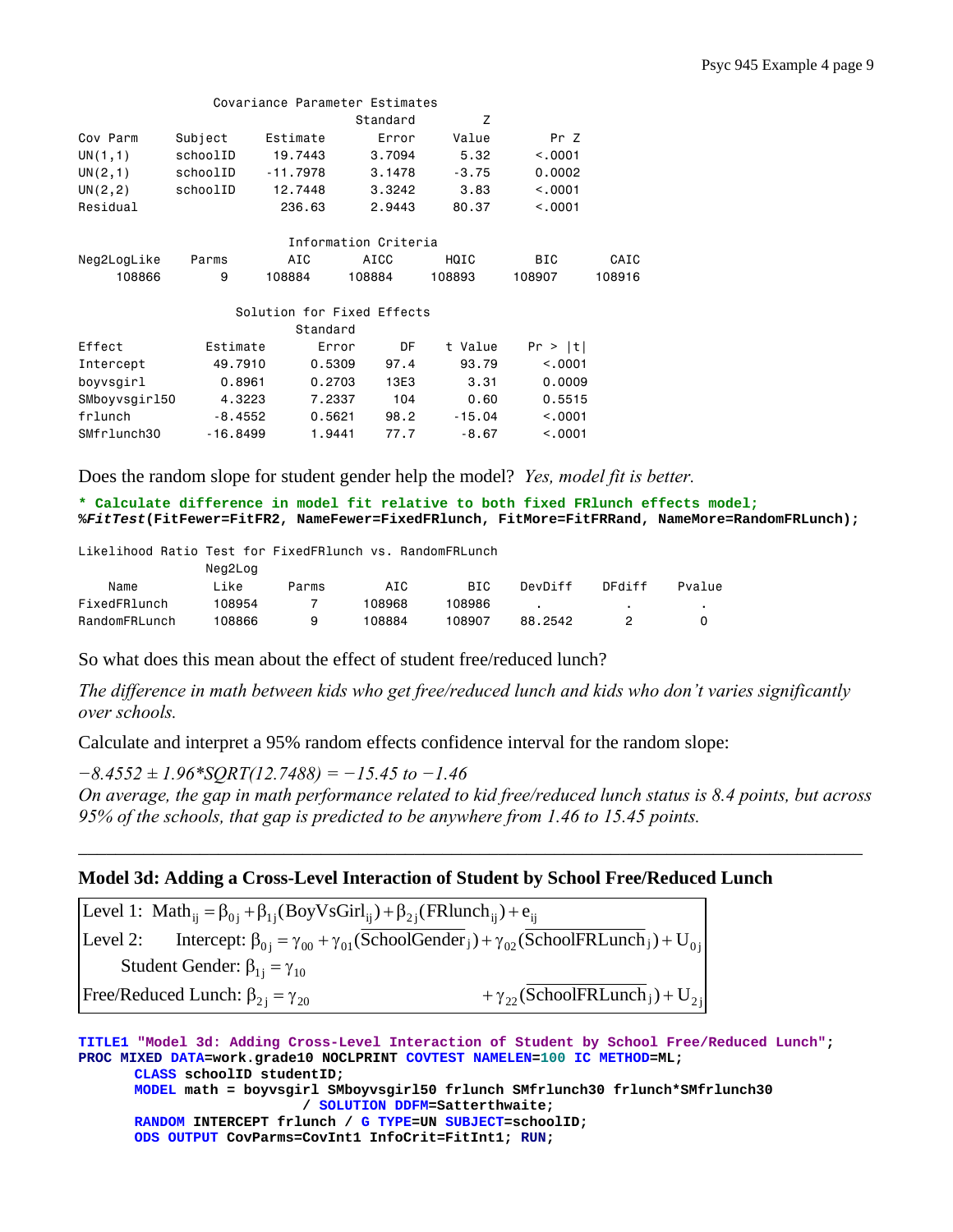|               |            |            | Covariance Parameter Estimates |          |          |        |
|---------------|------------|------------|--------------------------------|----------|----------|--------|
|               |            |            | Standard                       | Z        |          |        |
| Cov Parm      | Subject    | Estimate   | Error                          | Value    | Pr Z     |        |
| UN(1,1)       | schoolID   | 19,7443    | 3,7094                         | 5.32     | < 0.001  |        |
| UN(2,1)       | schoolID   | $-11.7978$ | 3.1478                         | $-3.75$  | 0.0002   |        |
| UN(2, 2)      | schoolID   | 12,7448    | 3,3242                         | 3.83     | < 0.001  |        |
| Residual      |            | 236,63     | 2.9443                         | 80.37    | < 0.001  |        |
|               |            |            |                                |          |          |        |
|               |            |            | Information Criteria           |          |          |        |
| Neg2LogLike   | Parms      | AIC        | AICC                           | HQIC     | BIC.     | CAIC   |
| 108866        | 9          | 108884     | 108884                         | 108893   | 108907   | 108916 |
|               |            |            |                                |          |          |        |
|               |            |            | Solution for Fixed Effects     |          |          |        |
|               |            | Standard   |                                |          |          |        |
| Effect        | Estimate   |            | DF<br>Error                    | t Value  | Pr >  t  |        |
| Intercept     | 49,7910    | 0.5309     | 97.4                           | 93.79    | < 0.0001 |        |
| boyvsgirl     | 0.8961     | 0.2703     | 13E3                           | 3.31     | 0.0009   |        |
| SMboyvsgir150 | 4.3223     | 7.2337     | 104                            | 0.60     | 0.5515   |        |
| frlunch       | $-8.4552$  | 0.5621     | 98.2                           | $-15.04$ | < .0001  |        |
| SMfrlunch30   | $-16.8499$ | 1.9441     | 77.7                           | $-8.67$  | < 0.0001 |        |

Does the random slope for student gender help the model? *Yes, model fit is better.* 

**\* Calculate difference in model fit relative to both fixed FRlunch effects model; %***FitTest***(FitFewer=FitFR2, NameFewer=FixedFRlunch, FitMore=FitFRRand, NameMore=RandomFRLunch);** 

Likelihood Ratio Test for FixedFRlunch vs. RandomFRLunch

|               | Neg2Log |       |        |            |         |        |        |
|---------------|---------|-------|--------|------------|---------|--------|--------|
| Name          | Like    | Parms | AIC    | <b>BIC</b> | DevDiff | DFdiff | Pvalue |
| FixedFRlunch  | 108954  |       | 108968 | 108986     |         |        |        |
| RandomFRLunch | 108866  | a     | 108884 | 108907     | 88.2542 |        |        |

So what does this mean about the effect of student free/reduced lunch?

*The difference in math between kids who get free/reduced lunch and kids who don't varies significantly over schools.* 

Calculate and interpret a 95% random effects confidence interval for the random slope:

*−8.4552 ± 1.96\*SQRT(12.7488) = −15.45 to −1.46* 

*On average, the gap in math performance related to kid free/reduced lunch status is 8.4 points, but across 95% of the schools, that gap is predicted to be anywhere from 1.46 to 15.45 points.* 

\_\_\_\_\_\_\_\_\_\_\_\_\_\_\_\_\_\_\_\_\_\_\_\_\_\_\_\_\_\_\_\_\_\_\_\_\_\_\_\_\_\_\_\_\_\_\_\_\_\_\_\_\_\_\_\_\_\_\_\_\_\_\_\_\_\_\_\_\_\_\_\_\_\_\_\_\_\_\_\_\_\_\_\_

#### **Model 3d: Adding a Cross-Level Interaction of Student by School Free/Reduced Lunch**

| Level 1: Math <sub>ii</sub> = $\beta_{0i}$ + $\beta_{1i}$ (BoyVsGirl <sub>ii</sub> ) + $\beta_{2i}$ (FRlunch <sub>ii</sub> ) + $e_{ii}$ |                                                                                                                                                           |
|-----------------------------------------------------------------------------------------------------------------------------------------|-----------------------------------------------------------------------------------------------------------------------------------------------------------|
|                                                                                                                                         | Level 2: Intercept: $\beta_{0i} = \gamma_{00} + \gamma_{01}$ (SchoolGender <sub>j</sub> ) + $\gamma_{02}$ (SchoolFRLunch <sub>j</sub> ) + U <sub>0i</sub> |
| Student Gender: $\beta_{1i} = \gamma_{10}$                                                                                              |                                                                                                                                                           |
| Free/Reduced Lunch: $\beta_{2i} = \gamma_{20}$                                                                                          | + $\gamma_{22}$ (SchoolFRLunch <sub>j</sub> ) + U <sub>2i</sub>                                                                                           |

**TITLE1 "Model 3d: Adding Cross-Level Interaction of Student by School Free/Reduced Lunch"; PROC MIXED DATA=work.grade10 NOCLPRINT COVTEST NAMELEN=100 IC METHOD=ML; CLASS schoolID studentID; MODEL math = boyvsgirl SMboyvsgirl50 frlunch SMfrlunch30 frlunch\*SMfrlunch30 / SOLUTION DDFM=Satterthwaite; RANDOM INTERCEPT frlunch / G TYPE=UN SUBJECT=schoolID; ODS OUTPUT CovParms=CovInt1 InfoCrit=FitInt1; RUN;**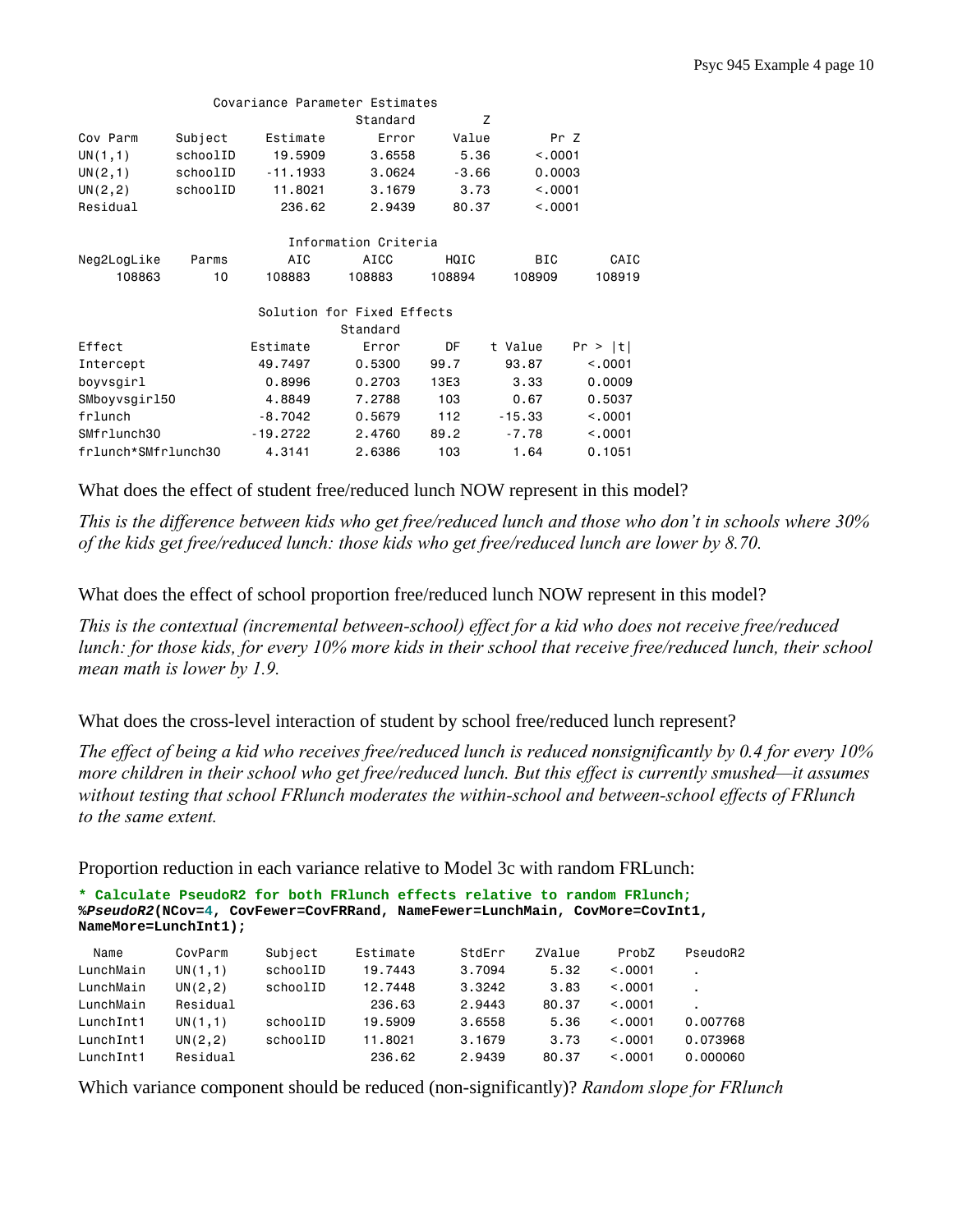| Covariance Parameter Estimates |          |            |                            |         |            |         |  |
|--------------------------------|----------|------------|----------------------------|---------|------------|---------|--|
|                                |          |            | Standard                   |         | Z          |         |  |
| Cov Parm                       | Subject  | Estimate   | Error                      | Value   | Pr Z       |         |  |
| UN(1,1)                        | schoolID | 19,5909    | 3.6558                     | 5.36    | < 0.001    |         |  |
| UN(2,1)                        | schoolID | $-11.1933$ | 3,0624                     | $-3.66$ | 0.0003     |         |  |
| UN(2, 2)                       | schoolID | 11.8021    | 3,1679                     | 3.73    | < .0001    |         |  |
| Residual                       |          | 236.62     | 2.9439                     | 80.37   | < 0.001    |         |  |
|                                |          |            |                            |         |            |         |  |
|                                |          |            | Information Criteria       |         |            |         |  |
| Neg2LogLike                    | Parms    | AIC        | AICC                       | HQIC    | <b>BIC</b> | CAIC    |  |
| 108863                         | 10       | 108883     | 108883                     | 108894  | 108909     | 108919  |  |
|                                |          |            |                            |         |            |         |  |
|                                |          |            | Solution for Fixed Effects |         |            |         |  |
|                                |          |            | Standard                   |         |            |         |  |
| Effect                         |          | Estimate   | Error                      | DF      | t Value    | Pr >  t |  |
| Intercept                      |          | 49.7497    | 0.5300                     | 99.7    | 93.87      | < 0.001 |  |
| boyvsgirl                      |          | 0.8996     | 0.2703                     | 13E3    | 3.33       | 0.0009  |  |
| SMboyvsgir150                  |          | 4,8849     | 7.2788                     | 103     | 0.67       | 0.5037  |  |
| frlunch                        |          | $-8.7042$  | 0.5679                     | 112     | $-15.33$   | < 0.001 |  |
| SMfrlunch30                    |          | $-19.2722$ | 2.4760                     | 89.2    | $-7.78$    | < 0.001 |  |
| frlunch*SMfrlunch30            |          | 4.3141     | 2.6386                     | 103     | 1.64       | 0.1051  |  |

What does the effect of student free/reduced lunch NOW represent in this model?

*This is the difference between kids who get free/reduced lunch and those who don't in schools where 30% of the kids get free/reduced lunch: those kids who get free/reduced lunch are lower by 8.70.* 

What does the effect of school proportion free/reduced lunch NOW represent in this model?

*This is the contextual (incremental between-school) effect for a kid who does not receive free/reduced lunch: for those kids, for every 10% more kids in their school that receive free/reduced lunch, their school mean math is lower by 1.9.* 

What does the cross-level interaction of student by school free/reduced lunch represent?

*The effect of being a kid who receives free/reduced lunch is reduced nonsignificantly by 0.4 for every 10% more children in their school who get free/reduced lunch. But this effect is currently smushed—it assumes without testing that school FRlunch moderates the within-school and between-school effects of FRlunch to the same extent.* 

Proportion reduction in each variance relative to Model 3c with random FRLunch:

```
* Calculate PseudoR2 for both FRlunch effects relative to random FRlunch;
%PseudoR2(NCov=4, CovFewer=CovFRRand, NameFewer=LunchMain, CovMore=CovInt1, 
NameMore=LunchInt1);
```

| Name      | CovParm  | Subject  | Estimate | StdErr | ZValue | ProbZ   | PseudoR2 |
|-----------|----------|----------|----------|--------|--------|---------|----------|
| LunchMain | UN(1,1)  | schoolID | 19.7443  | 3.7094 | 5.32   | < 0.001 |          |
| LunchMain | UN(2, 2) | schoolID | 12.7448  | 3.3242 | 3.83   | < 0.001 |          |
| LunchMain | Residual |          | 236.63   | 2.9443 | 80.37  | < 0.001 |          |
| LunchInt1 | UN(1,1)  | schoolID | 19.5909  | 3.6558 | 5.36   | < 0.001 | 0.007768 |
| LunchInt1 | UN(2, 2) | schoolID | 11.8021  | 3.1679 | 3.73   | < 0.001 | 0.073968 |
| LunchInt1 | Residual |          | 236.62   | 2.9439 | 80.37  | < 0.001 | 0.000060 |

Which variance component should be reduced (non-significantly)? *Random slope for FRlunch*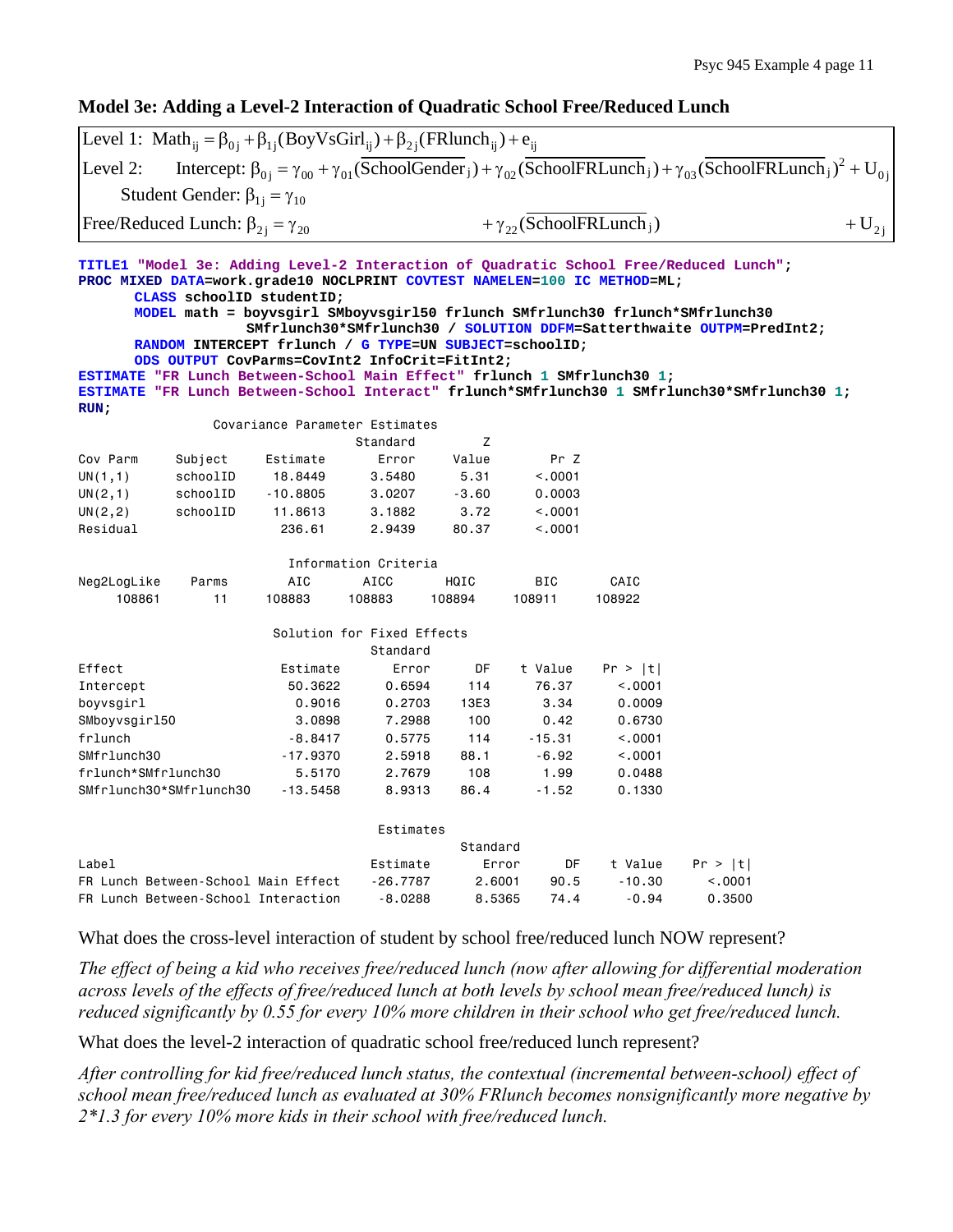## **Model 3e: Adding a Level-2 Interaction of Quadratic School Free/Reduced Lunch**

|                         | Level 1: Math <sub>ij</sub> = $\beta_{0j}$ + $\beta_{1j}$ (BoyVsGirl <sub>ij</sub> ) + $\beta_{2j}$ (FRlunch <sub>ij</sub> ) + $e_{ij}$                                                                                                                                                     |                                |                            |               |                                               |          |                                                                                                                                                                                                                                                                                                                                                |           |
|-------------------------|---------------------------------------------------------------------------------------------------------------------------------------------------------------------------------------------------------------------------------------------------------------------------------------------|--------------------------------|----------------------------|---------------|-----------------------------------------------|----------|------------------------------------------------------------------------------------------------------------------------------------------------------------------------------------------------------------------------------------------------------------------------------------------------------------------------------------------------|-----------|
| Level 2:                |                                                                                                                                                                                                                                                                                             |                                |                            |               |                                               |          | Intercept: $\beta_{0i} = \gamma_{00} + \gamma_{01}(\overline{SchoolGender}_j) + \gamma_{02}(\overline{SchoolFRLunch}_j) + \gamma_{03}(\overline{SchoolFRLunch}_j)^2 + U_{0i}$                                                                                                                                                                  |           |
|                         | Student Gender: $\beta_{1i} = \gamma_{10}$                                                                                                                                                                                                                                                  |                                |                            |               |                                               |          |                                                                                                                                                                                                                                                                                                                                                |           |
|                         | Free/Reduced Lunch: $\beta_{2i} = \gamma_{20}$                                                                                                                                                                                                                                              |                                |                            |               | + $\gamma_{22}$ (SchoolFRLunch <sub>i</sub> ) |          |                                                                                                                                                                                                                                                                                                                                                | $+U_{2i}$ |
| RUN:                    | PROC MIXED DATA=work.grade10 NOCLPRINT COVTEST NAMELEN=100 IC METHOD=ML;<br>CLASS schoolID studentID;<br>RANDOM INTERCEPT frlunch / G TYPE=UN SUBJECT=schoolID;<br>ODS OUTPUT CovParms=CovInt2 InfoCrit=FitInt2;<br>ESTIMATE "FR Lunch Between-School Main Effect" frlunch 1 SMfrlunch30 1; |                                |                            |               |                                               |          | TITLE1 "Model 3e: Adding Level-2 Interaction of Quadratic School Free/Reduced Lunch";<br>MODEL math = boyvsgirl SMboyvsgirl50 frlunch SMfrlunch30 frlunch*SMfrlunch30<br>SMfrlunch30*SMfrlunch30 / SOLUTION DDFM=Satterthwaite OUTPM=PredInt2;<br>ESTIMATE "FR Lunch Between-School Interact" frlunch*SMfrlunch30 1 SMfrlunch30*SMfrlunch30 1; |           |
|                         |                                                                                                                                                                                                                                                                                             | Covariance Parameter Estimates |                            |               |                                               |          |                                                                                                                                                                                                                                                                                                                                                |           |
|                         |                                                                                                                                                                                                                                                                                             |                                | Standard                   | Z             |                                               |          |                                                                                                                                                                                                                                                                                                                                                |           |
| Cov Parm                | Subject                                                                                                                                                                                                                                                                                     | Estimate                       | Error                      | Value         | Pr Z                                          |          |                                                                                                                                                                                                                                                                                                                                                |           |
| UN(1,1)                 | schoolID                                                                                                                                                                                                                                                                                    | 18.8449                        | 3.5480                     | 5.31          | < .0001                                       |          |                                                                                                                                                                                                                                                                                                                                                |           |
| UN(2,1)                 | schoolID                                                                                                                                                                                                                                                                                    | $-10.8805$                     | 3.0207                     | $-3.60$       | 0.0003                                        |          |                                                                                                                                                                                                                                                                                                                                                |           |
| UN(2, 2)<br>Residual    | schoolID                                                                                                                                                                                                                                                                                    | 11.8613<br>236.61              | 3.1882<br>2.9439           | 3.72<br>80.37 | < .0001<br>< .0001                            |          |                                                                                                                                                                                                                                                                                                                                                |           |
|                         |                                                                                                                                                                                                                                                                                             |                                |                            |               |                                               |          |                                                                                                                                                                                                                                                                                                                                                |           |
|                         |                                                                                                                                                                                                                                                                                             |                                | Information Criteria       |               |                                               |          |                                                                                                                                                                                                                                                                                                                                                |           |
| Neg2LogLike             | Parms                                                                                                                                                                                                                                                                                       | AIC                            | <b>AICC</b>                | HQIC          | BIC                                           | CAIC     |                                                                                                                                                                                                                                                                                                                                                |           |
| 108861                  | 11                                                                                                                                                                                                                                                                                          | 108883                         | 108883                     | 108894        | 108911                                        | 108922   |                                                                                                                                                                                                                                                                                                                                                |           |
|                         |                                                                                                                                                                                                                                                                                             |                                | Solution for Fixed Effects |               |                                               |          |                                                                                                                                                                                                                                                                                                                                                |           |
|                         |                                                                                                                                                                                                                                                                                             |                                | Standard                   |               |                                               |          |                                                                                                                                                                                                                                                                                                                                                |           |
| Effect                  |                                                                                                                                                                                                                                                                                             | Estimate                       | Error                      | DF            | t Value                                       | Pr >  t  |                                                                                                                                                                                                                                                                                                                                                |           |
| Intercept               |                                                                                                                                                                                                                                                                                             | 50.3622                        | 0.6594                     | 114           | 76.37                                         | < .0001  |                                                                                                                                                                                                                                                                                                                                                |           |
| boyvsgirl               |                                                                                                                                                                                                                                                                                             | 0.9016                         | 0.2703                     | 13E3          | 3.34                                          | 0.0009   |                                                                                                                                                                                                                                                                                                                                                |           |
| SMboyvsgirl50           |                                                                                                                                                                                                                                                                                             | 3.0898                         | 7.2988                     | 100           | 0.42                                          | 0.6730   |                                                                                                                                                                                                                                                                                                                                                |           |
| frlunch                 |                                                                                                                                                                                                                                                                                             | $-8.8417$                      | 0.5775                     | 114           | $-15.31$                                      | < .0001  |                                                                                                                                                                                                                                                                                                                                                |           |
| SMfrlunch30             |                                                                                                                                                                                                                                                                                             | $-17.9370$                     | 2.5918                     | 88.1          | $-6.92$                                       | < .0001  |                                                                                                                                                                                                                                                                                                                                                |           |
| frlunch*SMfrlunch30     |                                                                                                                                                                                                                                                                                             | 5.5170                         | 2.7679                     | 108           | 1.99                                          | 0.0488   |                                                                                                                                                                                                                                                                                                                                                |           |
| SMfrlunch30*SMfrlunch30 |                                                                                                                                                                                                                                                                                             | $-13.5458$                     | 8.9313                     | 86.4          | $-1.52$                                       | 0.1330   |                                                                                                                                                                                                                                                                                                                                                |           |
|                         |                                                                                                                                                                                                                                                                                             |                                | Estimates                  |               |                                               |          |                                                                                                                                                                                                                                                                                                                                                |           |
|                         |                                                                                                                                                                                                                                                                                             |                                |                            | Standard      |                                               |          |                                                                                                                                                                                                                                                                                                                                                |           |
| Label                   |                                                                                                                                                                                                                                                                                             |                                | Estimate                   | Error         | DF                                            | t Value  | Pr >  t                                                                                                                                                                                                                                                                                                                                        |           |
|                         | FR Lunch Between-School Main Effect                                                                                                                                                                                                                                                         |                                | $-26.7787$                 | 2.6001        | 90.5                                          | $-10.30$ | < .0001                                                                                                                                                                                                                                                                                                                                        |           |
|                         | FR Lunch Between-School Interaction                                                                                                                                                                                                                                                         |                                | $-8.0288$                  | 8.5365        | 74.4                                          | $-0.94$  | 0.3500                                                                                                                                                                                                                                                                                                                                         |           |

What does the cross-level interaction of student by school free/reduced lunch NOW represent?

*The effect of being a kid who receives free/reduced lunch (now after allowing for differential moderation across levels of the effects of free/reduced lunch at both levels by school mean free/reduced lunch) is reduced significantly by 0.55 for every 10% more children in their school who get free/reduced lunch.* 

What does the level-2 interaction of quadratic school free/reduced lunch represent?

*After controlling for kid free/reduced lunch status, the contextual (incremental between-school) effect of school mean free/reduced lunch as evaluated at 30% FRlunch becomes nonsignificantly more negative by 2\*1.3 for every 10% more kids in their school with free/reduced lunch.*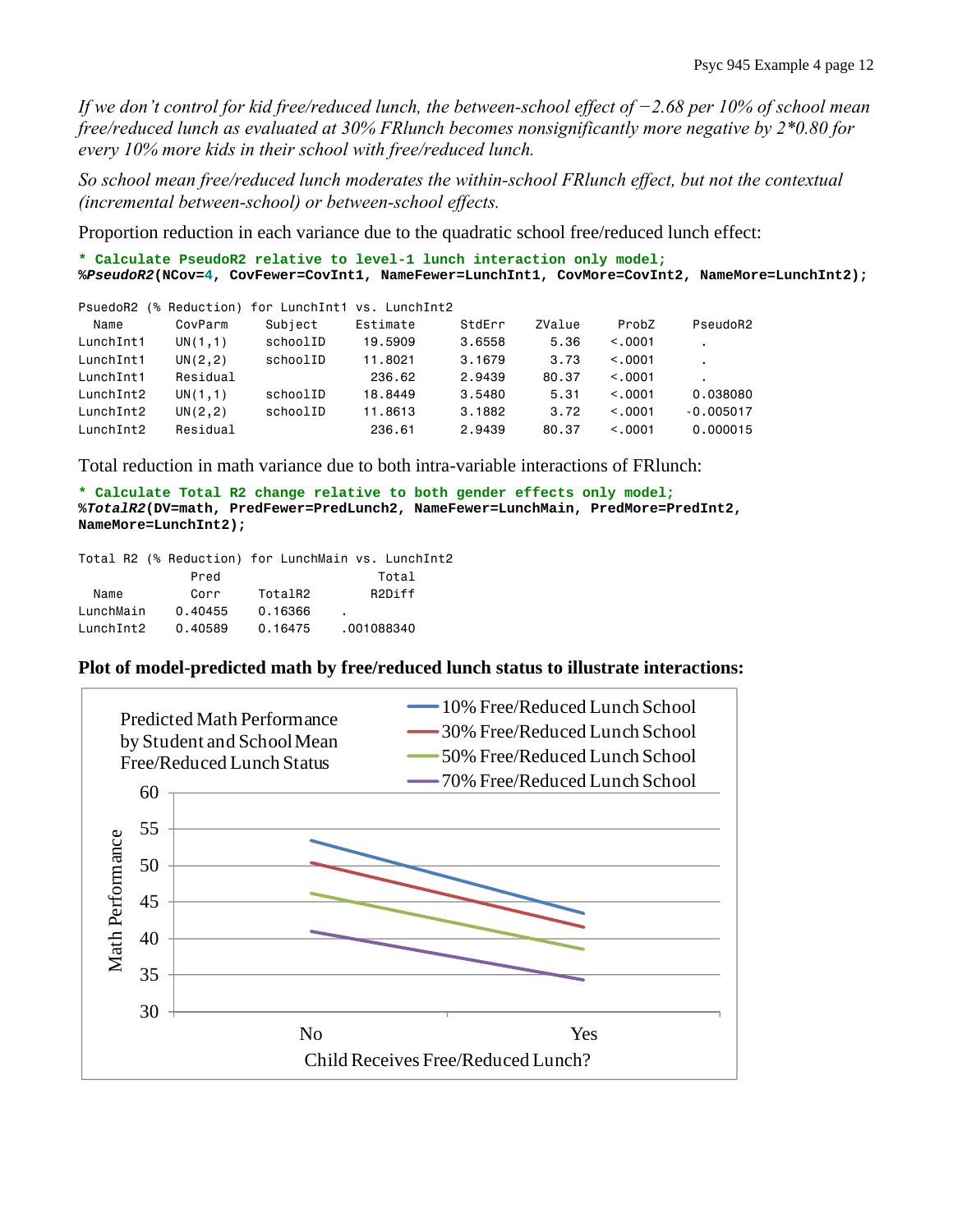*If we don't control for kid free/reduced lunch, the between-school effect of*  $-2.68$  per 10% of school mean *free/reduced lunch as evaluated at 30% FRlunch becomes nonsignificantly more negative by 2\*0.80 for every 10% more kids in their school with free/reduced lunch.* 

*So school mean free/reduced lunch moderates the within-school FRlunch effect, but not the contextual (incremental between-school) or between-school effects.* 

Proportion reduction in each variance due to the quadratic school free/reduced lunch effect:

| * Calculate PseudoR2 relative to level-1 lunch interaction only model;<br>%PseudoR2(NCov=4, CovFewer=CovInt1, NameFewer=LunchInt1, CovMore=CovInt2, NameMore=LunchInt2); |          |          |                                                    |        |        |         |          |
|--------------------------------------------------------------------------------------------------------------------------------------------------------------------------|----------|----------|----------------------------------------------------|--------|--------|---------|----------|
|                                                                                                                                                                          |          |          | PsuedoR2 (% Reduction) for LunchInt1 vs. LunchInt2 |        |        |         |          |
| Name                                                                                                                                                                     | CovParm  | Subject  | Estimate                                           | StdErr | ZValue | ProbZ   | PseudoR2 |
| LunchInt1                                                                                                                                                                | UN(1,1)  | schoolID | 19.5909                                            | 3.6558 | 5.36   | < 0.001 |          |
| LunchInt1                                                                                                                                                                | UN(2, 2) | schoolID | 11,8021                                            | 3.1679 | 3.73   | < 0.001 |          |
| LunchInt1                                                                                                                                                                | Residual |          | 236.62                                             | 2.9439 | 80.37  | < 0.001 |          |

LunchInt2 UN(2,2) schoolID 11.8613 3.1882 3.72 <.0001 -0.005017 LunchInt2 Residual 236.61 2.9439 80.37 <.0001 0.000015

LunchInt2 UN(1,1) schoolID 18.8449 3.5480 5.31 <.0001 0.038080

Total reduction in math variance due to both intra-variable interactions of FRlunch:

```
* Calculate Total R2 change relative to both gender effects only model;
%TotalR2(DV=math, PredFewer=PredLunch2, NameFewer=LunchMain, PredMore=PredInt2, 
NameMore=LunchInt2);
```

|           |         |         | Total R2 (% Reduction) for LunchMain vs. LunchInt2 |
|-----------|---------|---------|----------------------------------------------------|
|           | Pred    |         | Total                                              |
| Name      | Corr    | TotalR2 | R <sub>2</sub> Diff                                |
| LunchMain | 0.40455 | 0.16366 |                                                    |
| LunchInt2 | 0.40589 | 0.16475 | .001088340                                         |

# **Plot of model-predicted math by free/reduced lunch status to illustrate interactions:**